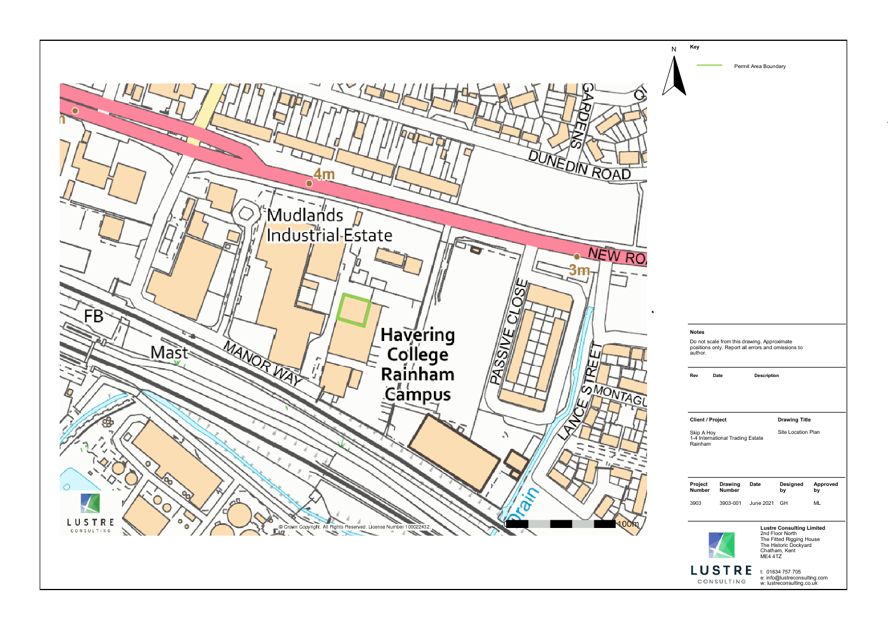## **Notes** Do not scale from this drawing. Approximate positions only. Report all errors and omissions to author. **Lustre Consulting Limited** 2nd Floor North The Fitted Rigging House The Historic Dockyard Chatham, Kent ME4 4TZ t: 01634 757 705 e: info@lustreconsulting.com w: lustreconsulting.co.uk **Client / Project**  Skip A Hoy 1-4 International Trading Estate Rainham **Drawing Title**  Site Location Plan **Project Number Drawing Number Date Designed by Approved by** 3903 3903-001 June 2021 GH ML **Rev Date Description**





Permit Area Boundary